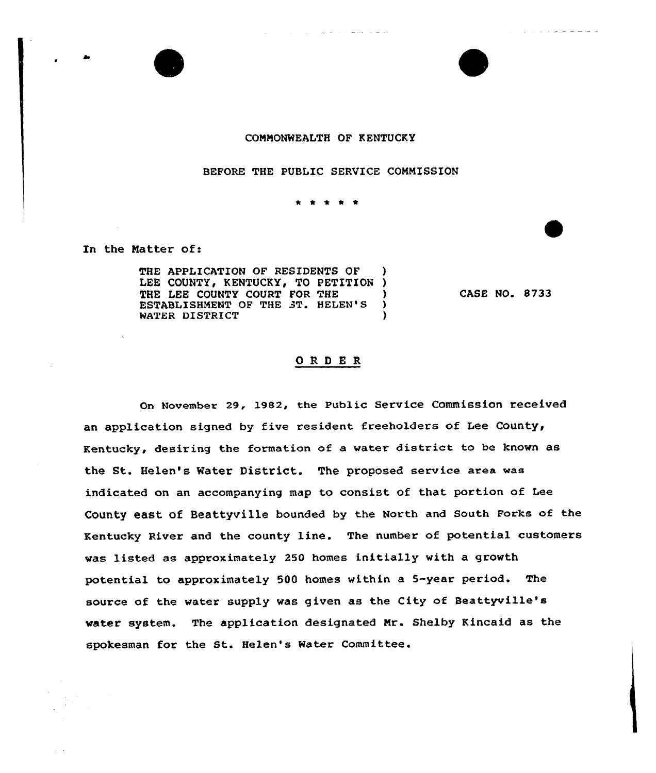

#### CONMONMEALTH OF KENTUCKY

and the company of the company of the company of the company of the company of the company of the company of the company of the company of the company of the company of the company of the company of the company of the comp

### BEFORE THE PUBLIC SERVICE CONNISSION

 $\frac{1}{2} \left( \frac{1}{2} \right) \left( \frac{1}{2} \right) \left( \frac{1}{2} \right) \left( \frac{1}{2} \right)$ 

In the Natter of:

THE APPLICATION OF RESIDENTS OF LEE COUNTY, KENTUCKY, TO PETITION )<br>THE LEE COUNTY COURT FOR THE THE LEE COUNTY COURT FOR THE )<br>ESTABLISHMENT OF THE 3T. HELEN'S ) WATER DISTRICT (1)

CASE NO. 8733

## ORDER

On November 29, 1982, the Public Service Commission received an application signed by five resident freeholders of Lee County, Kentucky, desiring the formation of a water district to be known as the St. Helen's Mater District. The proposed service area was indicated on an accompanying map to consist of that portion of Lee County east of Beattyville bounded by the North and south Forks of the Kentucky River and the county line. The number of potential customers was listed as approximately 250 homes initially with a growth potential to approximately 500 homes within a 5-year period. The source of the water supply was given as the City of Beattyville's water system. The application designated Nr. Shelby Kincaid as the spokesman for the St. Helen's Water Committee.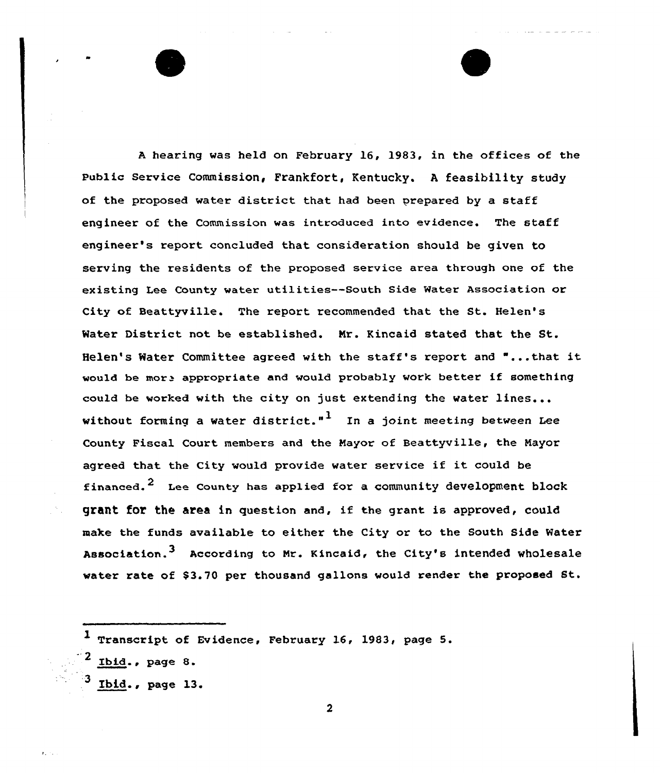<sup>A</sup> hearing was held on February 16, 1983, in the offices of the Public service Commission, Frankfort, Kentucky. <sup>A</sup> feasibility study of the proposed water district that had been prepared by a staff engineer of the Commission was introduced into evidence. The staff engineer's report concluded that consideration should be given to serving the residents of the proposed service area through one of the existing Lee County water utilities--South Side Water Association or City of Beattyville. The report recommended that the St. Helen' Mater District not be established. Nr. Kincaid stated that the St. Helen's Water Committee agreed with the staff's report and "...that it would be more appropriate and would probably work better if something could be worked with the city on just extending the water lines... without forming a water district."<sup>1</sup> In a joint meeting between Lee County Fiscal Court members and the Mayor of Beattyville, the Mayor agreed that the City would provide water service if it could be financed.<sup>2</sup> Lee County has applied for a community development block grant for the area in question and, if the grant is approved, could make the funds available to either the City or to the South Side Water Association.<sup>3</sup> According to Mr. Kincaid, the City's intended wholesale water rate of \$3.70 per thousand gallons would render the proposed St.

1 Transcript of Evidence, February 16, 1983, page 5.  $\sqrt{2}$  Ibid., page 8.  $3$  Ibid., page 13.

 $\mathbf{r}_1 \sim \mathbf{r}_2$ 

 $\overline{\mathbf{2}}$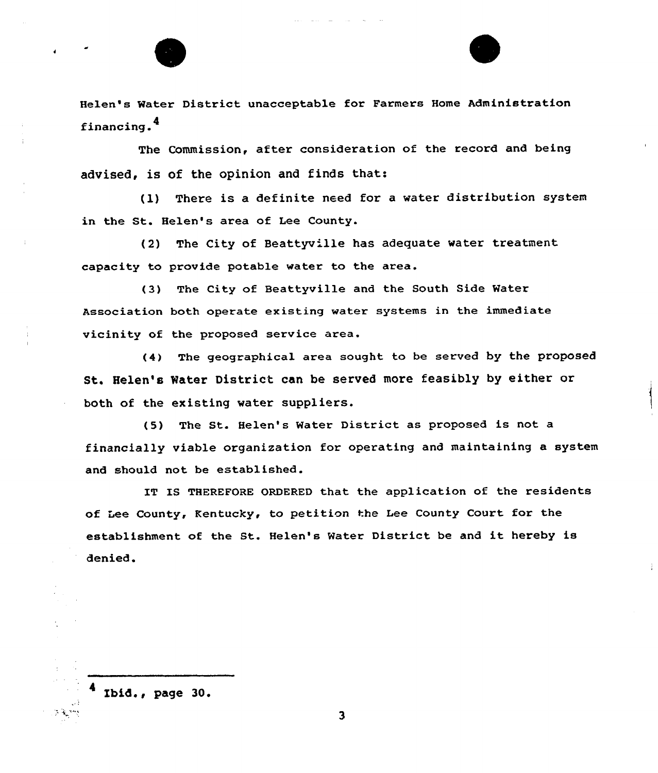Helen's Water District unacceptable for Farmers Home Administration financing.<sup>4</sup>

The Commission, after consideration of the record and being advised, is of the opinion and finds that:

(l) There is a definite need for <sup>a</sup> water distribution system in the St. Helen's area of Lee County.

(2) The City of Beattyville has adequate water treatment capacity to provide potable water to the area.

(3) The City of Beattyville and the South Side Water Association both operate existing water systems in the immediate vicinity of the proposed service area.

(4) The geographical area sought to be served by the proposed St. Helen's Mater District can be served more feasibly by either or both of the existing water suppliers.

(5) The St. Helen's Water District as proposed is not a financially viable organisation for operating and maintaining a system and should not be established.

IT IS THEREFORE ORDERED that the application of the residents of Lee County, Kentucky, to petition the Lee County Court for the establishment of the St. Helen's Water District be and it hereby is denied.

Ibid., page 30.

医爱热

 $\overline{\mathbf{3}}$